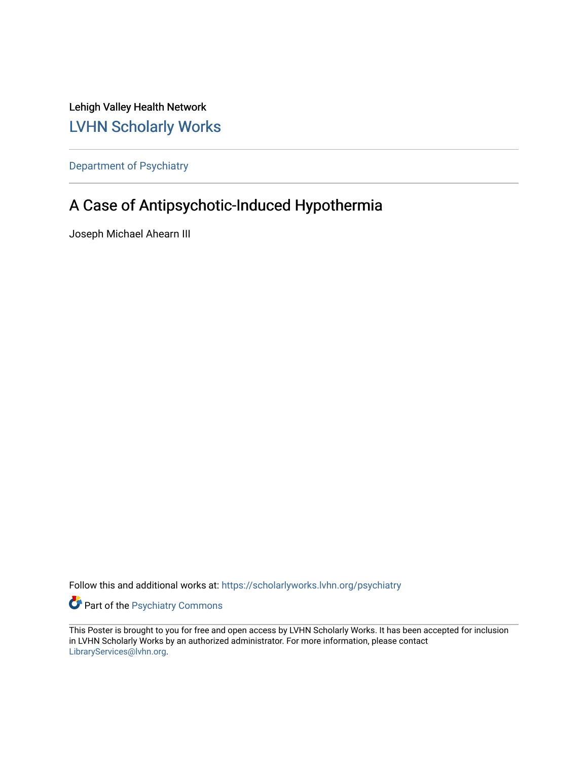Lehigh Valley Health Network [LVHN Scholarly Works](https://scholarlyworks.lvhn.org/)

[Department of Psychiatry](https://scholarlyworks.lvhn.org/psychiatry)

#### A Case of Antipsychotic-Induced Hypothermia

Joseph Michael Ahearn III

Follow this and additional works at: [https://scholarlyworks.lvhn.org/psychiatry](https://scholarlyworks.lvhn.org/psychiatry?utm_source=scholarlyworks.lvhn.org%2Fpsychiatry%2F64&utm_medium=PDF&utm_campaign=PDFCoverPages) 

Part of the [Psychiatry Commons](https://network.bepress.com/hgg/discipline/704?utm_source=scholarlyworks.lvhn.org%2Fpsychiatry%2F64&utm_medium=PDF&utm_campaign=PDFCoverPages) 

This Poster is brought to you for free and open access by LVHN Scholarly Works. It has been accepted for inclusion in LVHN Scholarly Works by an authorized administrator. For more information, please contact [LibraryServices@lvhn.org](mailto:LibraryServices@lvhn.org).